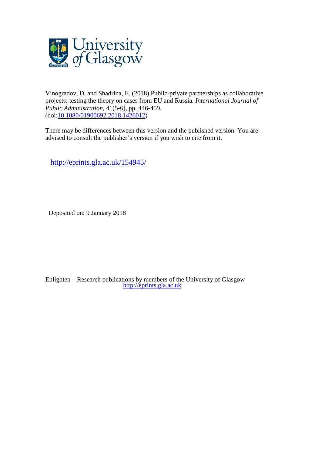

Vinogradov, D. and Shadrina, E. (2018) Public-private partnerships as collaborative projects: testing the theory on cases from EU and Russia. *International Journal of Public Administration,* 41(5-6), pp. 446-459. (doi[:10.1080/01900692.2018.1426012\)](http://dx.doi.org/10.1080/01900692.2018.1426012)

There may be differences between this version and the published version. You are advised to consult the publisher's version if you wish to cite from it.

<http://eprints.gla.ac.uk/154945/>

Deposited on: 9 January 2018

Enlighten – Research publications by members of the University of Glasgow [http://eprints.gla.ac.uk](http://eprints.gla.ac.uk/)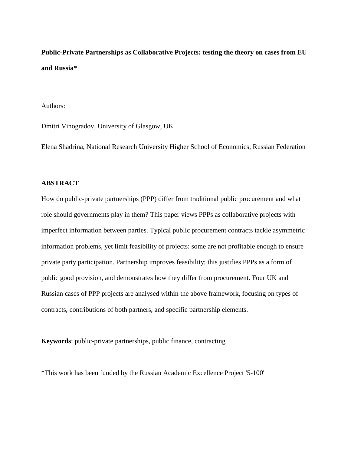**Public-Private Partnerships as Collaborative Projects: testing the theory on cases from EU and Russia\***

Authors:

Dmitri Vinogradov, University of Glasgow, UK

Elena Shadrina, National Research University Higher School of Economics, Russian Federation

# **ABSTRACT**

How do public-private partnerships (PPP) differ from traditional public procurement and what role should governments play in them? This paper views PPPs as collaborative projects with imperfect information between parties. Typical public procurement contracts tackle asymmetric information problems, yet limit feasibility of projects: some are not profitable enough to ensure private party participation. Partnership improves feasibility; this justifies PPPs as a form of public good provision, and demonstrates how they differ from procurement. Four UK and Russian cases of PPP projects are analysed within the above framework, focusing on types of contracts, contributions of both partners, and specific partnership elements.

**Keywords**: public-private partnerships, public finance, contracting

\*This work has been funded by the Russian Academic Excellence Project '5-100'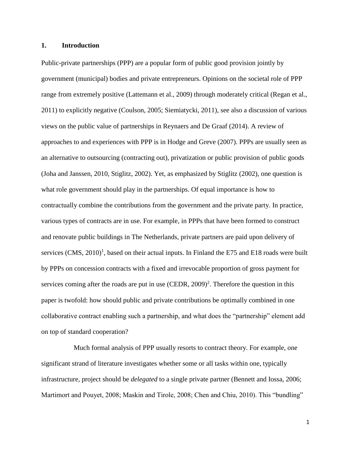# **1. Introduction**

Public-private partnerships (PPP) are a popular form of public good provision jointly by government (municipal) bodies and private entrepreneurs. Opinions on the societal role of PPP range from extremely positive (Lattemann et al., 2009) through moderately critical (Regan et al., 2011) to explicitly negative (Coulson, 2005; Siemiatycki, 2011), see also a discussion of various views on the public value of partnerships in Reynaers and De Graaf (2014). A review of approaches to and experiences with PPP is in Hodge and Greve (2007). PPPs are usually seen as an alternative to outsourcing (contracting out), privatization or public provision of public goods (Joha and Janssen, 2010, Stiglitz, 2002). Yet, as emphasized by Stiglitz (2002), one question is what role government should play in the partnerships. Of equal importance is how to contractually combine the contributions from the government and the private party. In practice, various types of contracts are in use. For example, in PPPs that have been formed to construct and renovate public buildings in The Netherlands, private partners are paid upon delivery of services  $(CMS, 2010)^1$ , based on their actual inputs. In Finland the E75 and E18 roads were built by PPPs on concession contracts with a fixed and irrevocable proportion of gross payment for services coming after the roads are put in use  $(CEDR, 2009)^2$ . Therefore the question in this paper is twofold: how should public and private contributions be optimally combined in one collaborative contract enabling such a partnership, and what does the "partnership" element add on top of standard cooperation?

Much formal analysis of PPP usually resorts to contract theory. For example, one significant strand of literature investigates whether some or all tasks within one, typically infrastructure, project should be *delegated* to a single private partner (Bennett and Iossa, 2006; Martimort and Pouyet, 2008; Maskin and Tirole, 2008; Chen and Chiu, 2010). This "bundling"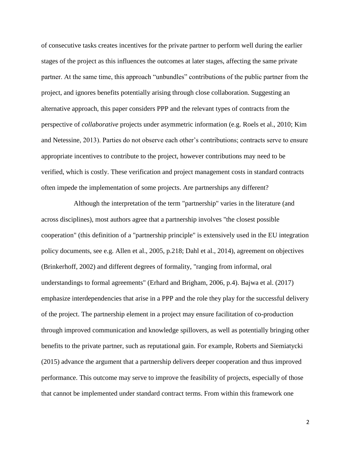of consecutive tasks creates incentives for the private partner to perform well during the earlier stages of the project as this influences the outcomes at later stages, affecting the same private partner. At the same time, this approach "unbundles" contributions of the public partner from the project, and ignores benefits potentially arising through close collaboration. Suggesting an alternative approach, this paper considers PPP and the relevant types of contracts from the perspective of *collaborative* projects under asymmetric information (e.g. Roels et al., 2010; Kim and Netessine, 2013). Parties do not observe each other's contributions; contracts serve to ensure appropriate incentives to contribute to the project, however contributions may need to be verified, which is costly. These verification and project management costs in standard contracts often impede the implementation of some projects. Are partnerships any different?

Although the interpretation of the term "partnership" varies in the literature (and across disciplines), most authors agree that a partnership involves "the closest possible cooperation" (this definition of a "partnership principle" is extensively used in the EU integration policy documents, see e.g. Allen et al., 2005, p.218; Dahl et al., 2014), agreement on objectives (Brinkerhoff, 2002) and different degrees of formality, "ranging from informal, oral understandings to formal agreements" (Erhard and Brigham, 2006, p.4). Bajwa et al. (2017) emphasize interdependencies that arise in a PPP and the role they play for the successful delivery of the project. The partnership element in a project may ensure facilitation of co-production through improved communication and knowledge spillovers, as well as potentially bringing other benefits to the private partner, such as reputational gain. For example, Roberts and Siemiatycki (2015) advance the argument that a partnership delivers deeper cooperation and thus improved performance. This outcome may serve to improve the feasibility of projects, especially of those that cannot be implemented under standard contract terms. From within this framework one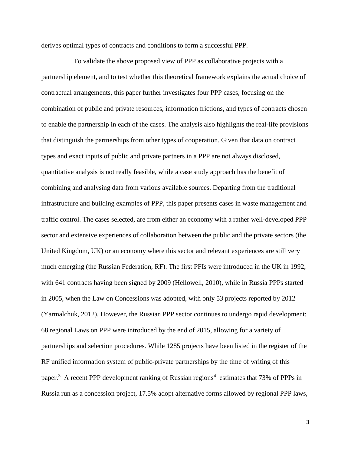derives optimal types of contracts and conditions to form a successful PPP.

To validate the above proposed view of PPP as collaborative projects with a partnership element, and to test whether this theoretical framework explains the actual choice of contractual arrangements, this paper further investigates four PPP cases, focusing on the combination of public and private resources, information frictions, and types of contracts chosen to enable the partnership in each of the cases. The analysis also highlights the real-life provisions that distinguish the partnerships from other types of cooperation. Given that data on contract types and exact inputs of public and private partners in a PPP are not always disclosed, quantitative analysis is not really feasible, while a case study approach has the benefit of combining and analysing data from various available sources. Departing from the traditional infrastructure and building examples of PPP, this paper presents cases in waste management and traffic control. The cases selected, are from either an economy with a rather well-developed PPP sector and extensive experiences of collaboration between the public and the private sectors (the United Kingdom, UK) or an economy where this sector and relevant experiences are still very much emerging (the Russian Federation, RF). The first PFIs were introduced in the UK in 1992, with 641 contracts having been signed by 2009 (Hellowell, 2010), while in Russia PPPs started in 2005, when the Law on Concessions was adopted, with only 53 projects reported by 2012 (Yarmalchuk, 2012). However, the Russian PPP sector continues to undergo rapid development: 68 regional Laws on PPP were introduced by the end of 2015, allowing for a variety of partnerships and selection procedures. While 1285 projects have been listed in the register of the RF unified information system of public-private partnerships by the time of writing of this paper.<sup>3</sup> A recent PPP development ranking of Russian regions<sup>4</sup> estimates that 73% of PPPs in Russia run as a concession project, 17.5% adopt alternative forms allowed by regional PPP laws,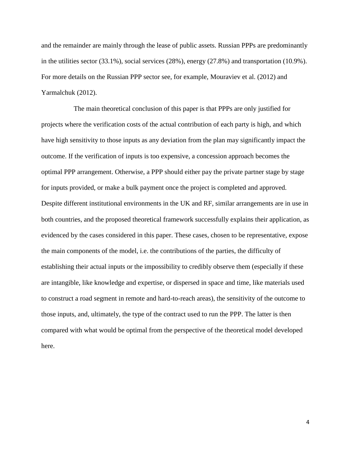and the remainder are mainly through the lease of public assets. Russian PPPs are predominantly in the utilities sector (33.1%), social services (28%), energy (27.8%) and transportation (10.9%). For more details on the Russian PPP sector see, for example, Mouraviev et al. (2012) and Yarmalchuk (2012).

The main theoretical conclusion of this paper is that PPPs are only justified for projects where the verification costs of the actual contribution of each party is high, and which have high sensitivity to those inputs as any deviation from the plan may significantly impact the outcome. If the verification of inputs is too expensive, a concession approach becomes the optimal PPP arrangement. Otherwise, a PPP should either pay the private partner stage by stage for inputs provided, or make a bulk payment once the project is completed and approved. Despite different institutional environments in the UK and RF, similar arrangements are in use in both countries, and the proposed theoretical framework successfully explains their application, as evidenced by the cases considered in this paper. These cases, chosen to be representative, expose the main components of the model, i.e. the contributions of the parties, the difficulty of establishing their actual inputs or the impossibility to credibly observe them (especially if these are intangible, like knowledge and expertise, or dispersed in space and time, like materials used to construct a road segment in remote and hard-to-reach areas), the sensitivity of the outcome to those inputs, and, ultimately, the type of the contract used to run the PPP. The latter is then compared with what would be optimal from the perspective of the theoretical model developed here.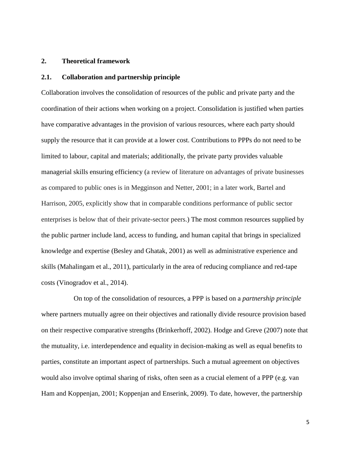# **2. Theoretical framework**

# **2.1. Collaboration and partnership principle**

Collaboration involves the consolidation of resources of the public and private party and the coordination of their actions when working on a project. Consolidation is justified when parties have comparative advantages in the provision of various resources, where each party should supply the resource that it can provide at a lower cost. Contributions to PPPs do not need to be limited to labour, capital and materials; additionally, the private party provides valuable managerial skills ensuring efficiency (a review of literature on advantages of private businesses as compared to public ones is in Megginson and Netter, 2001; in a later work, Bartel and Harrison, 2005, explicitly show that in comparable conditions performance of public sector enterprises is below that of their private-sector peers.) The most common resources supplied by the public partner include land, access to funding, and human capital that brings in specialized knowledge and expertise (Besley and Ghatak, 2001) as well as administrative experience and skills (Mahalingam et al., 2011), particularly in the area of reducing compliance and red-tape costs (Vinogradov et al., 2014).

On top of the consolidation of resources, a PPP is based on a *partnership principle* where partners mutually agree on their objectives and rationally divide resource provision based on their respective comparative strengths (Brinkerhoff, 2002). Hodge and Greve (2007) note that the mutuality, i.e. interdependence and equality in decision-making as well as equal benefits to parties, constitute an important aspect of partnerships. Such a mutual agreement on objectives would also involve optimal sharing of risks, often seen as a crucial element of a PPP (e.g. van Ham and Koppenjan, 2001; Koppenjan and Enserink, 2009). To date, however, the partnership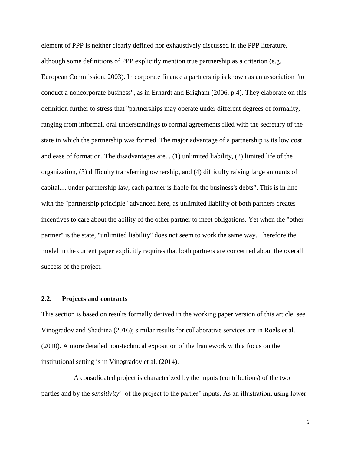element of PPP is neither clearly defined nor exhaustively discussed in the PPP literature, although some definitions of PPP explicitly mention true partnership as a criterion (e.g. European Commission, 2003). In corporate finance a partnership is known as an association "to conduct a noncorporate business", as in Erhardt and Brigham (2006, p.4). They elaborate on this definition further to stress that "partnerships may operate under different degrees of formality, ranging from informal, oral understandings to formal agreements filed with the secretary of the state in which the partnership was formed. The major advantage of a partnership is its low cost and ease of formation. The disadvantages are... (1) unlimited liability, (2) limited life of the organization, (3) difficulty transferring ownership, and (4) difficulty raising large amounts of capital.... under partnership law, each partner is liable for the business's debts". This is in line with the "partnership principle" advanced here, as unlimited liability of both partners creates incentives to care about the ability of the other partner to meet obligations. Yet when the "other partner" is the state, "unlimited liability" does not seem to work the same way. Therefore the model in the current paper explicitly requires that both partners are concerned about the overall success of the project.

# **2.2. Projects and contracts**

This section is based on results formally derived in the working paper version of this article, see Vinogradov and Shadrina (2016); similar results for collaborative services are in Roels et al. (2010). A more detailed non-technical exposition of the framework with a focus on the institutional setting is in Vinogradov et al. (2014).

A consolidated project is characterized by the inputs (contributions) of the two parties and by the *sensitivity*<sup>5</sup> of the project to the parties' inputs. As an illustration, using lower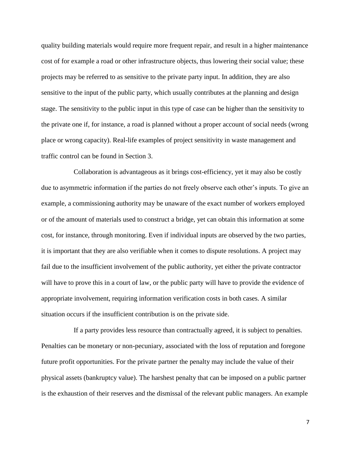quality building materials would require more frequent repair, and result in a higher maintenance cost of for example a road or other infrastructure objects, thus lowering their social value; these projects may be referred to as sensitive to the private party input. In addition, they are also sensitive to the input of the public party, which usually contributes at the planning and design stage. The sensitivity to the public input in this type of case can be higher than the sensitivity to the private one if, for instance, a road is planned without a proper account of social needs (wrong place or wrong capacity). Real-life examples of project sensitivity in waste management and traffic control can be found in Section 3.

Collaboration is advantageous as it brings cost-efficiency, yet it may also be costly due to asymmetric information if the parties do not freely observe each other's inputs. To give an example, a commissioning authority may be unaware of the exact number of workers employed or of the amount of materials used to construct a bridge, yet can obtain this information at some cost, for instance, through monitoring. Even if individual inputs are observed by the two parties, it is important that they are also verifiable when it comes to dispute resolutions. A project may fail due to the insufficient involvement of the public authority, yet either the private contractor will have to prove this in a court of law, or the public party will have to provide the evidence of appropriate involvement, requiring information verification costs in both cases. A similar situation occurs if the insufficient contribution is on the private side.

If a party provides less resource than contractually agreed, it is subject to penalties. Penalties can be monetary or non-pecuniary, associated with the loss of reputation and foregone future profit opportunities. For the private partner the penalty may include the value of their physical assets (bankruptcy value). The harshest penalty that can be imposed on a public partner is the exhaustion of their reserves and the dismissal of the relevant public managers. An example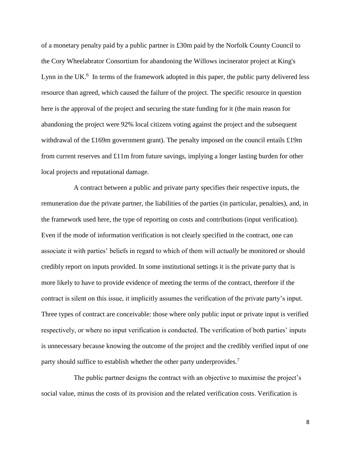of a monetary penalty paid by a public partner is £30m paid by the Norfolk County Council to the Cory Wheelabrator Consortium for abandoning the Willows incinerator project at King's Lynn in the UK. $<sup>6</sup>$  In terms of the framework adopted in this paper, the public party delivered less</sup> resource than agreed, which caused the failure of the project. The specific resource in question here is the approval of the project and securing the state funding for it (the main reason for abandoning the project were 92% local citizens voting against the project and the subsequent withdrawal of the £169m government grant). The penalty imposed on the council entails £19m from current reserves and £11m from future savings, implying a longer lasting burden for other local projects and reputational damage.

A contract between a public and private party specifies their respective inputs, the remuneration due the private partner, the liabilities of the parties (in particular, penalties), and, in the framework used here, the type of reporting on costs and contributions (input verification). Even if the mode of information verification is not clearly specified in the contract, one can associate it with parties' beliefs in regard to which of them will *actually* be monitored or should credibly report on inputs provided. In some institutional settings it is the private party that is more likely to have to provide evidence of meeting the terms of the contract, therefore if the contract is silent on this issue, it implicitly assumes the verification of the private party's input. Three types of contract are conceivable: those where only public input or private input is verified respectively, or where no input verification is conducted. The verification of both parties' inputs is unnecessary because knowing the outcome of the project and the credibly verified input of one party should suffice to establish whether the other party underprovides.<sup>7</sup>

The public partner designs the contract with an objective to maximise the project's social value, minus the costs of its provision and the related verification costs. Verification is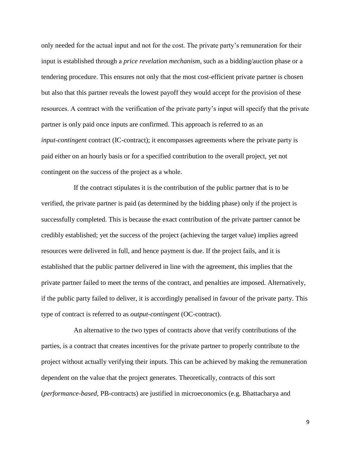only needed for the actual input and not for the cost. The private party's remuneration for their input is established through a *price revelation mechanism*, such as a bidding/auction phase or a tendering procedure. This ensures not only that the most cost-efficient private partner is chosen but also that this partner reveals the lowest payoff they would accept for the provision of these resources. A contract with the verification of the private party's input will specify that the private partner is only paid once inputs are confirmed. This approach is referred to as an *input-contingent* contract (IC-contract); it encompasses agreements where the private party is paid either on an hourly basis or for a specified contribution to the overall project, yet not contingent on the success of the project as a whole.

If the contract stipulates it is the contribution of the public partner that is to be verified, the private partner is paid (as determined by the bidding phase) only if the project is successfully completed. This is because the exact contribution of the private partner cannot be credibly established; yet the success of the project (achieving the target value) implies agreed resources were delivered in full, and hence payment is due. If the project fails, and it is established that the public partner delivered in line with the agreement, this implies that the private partner failed to meet the terms of the contract, and penalties are imposed. Alternatively, if the public party failed to deliver, it is accordingly penalised in favour of the private party. This type of contract is referred to as *output-contingent* (OC-contract).

An alternative to the two types of contracts above that verify contributions of the parties, is a contract that creates incentives for the private partner to properly contribute to the project without actually verifying their inputs. This can be achieved by making the remuneration dependent on the value that the project generates. Theoretically, contracts of this sort (*performance-based*, PB-contracts) are justified in microeconomics (e.g. Bhattacharya and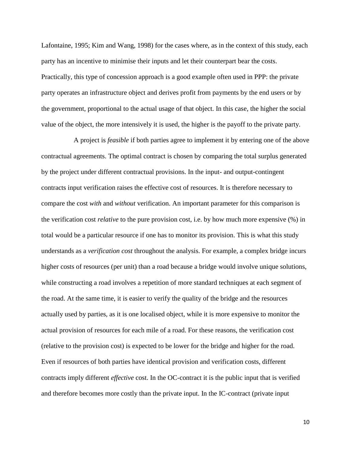Lafontaine, 1995; Kim and Wang, 1998) for the cases where, as in the context of this study, each party has an incentive to minimise their inputs and let their counterpart bear the costs. Practically, this type of concession approach is a good example often used in PPP: the private party operates an infrastructure object and derives profit from payments by the end users or by the government, proportional to the actual usage of that object. In this case, the higher the social value of the object, the more intensively it is used, the higher is the payoff to the private party.

A project is *feasible* if both parties agree to implement it by entering one of the above contractual agreements. The optimal contract is chosen by comparing the total surplus generated by the project under different contractual provisions. In the input- and output-contingent contracts input verification raises the effective cost of resources. It is therefore necessary to compare the cost *with* and *without* verification. An important parameter for this comparison is the verification cost *relative* to the pure provision cost, i.e. by how much more expensive (%) in total would be a particular resource if one has to monitor its provision. This is what this study understands as a *verification cost* throughout the analysis. For example, a complex bridge incurs higher costs of resources (per unit) than a road because a bridge would involve unique solutions, while constructing a road involves a repetition of more standard techniques at each segment of the road. At the same time, it is easier to verify the quality of the bridge and the resources actually used by parties, as it is one localised object, while it is more expensive to monitor the actual provision of resources for each mile of a road. For these reasons, the verification cost (relative to the provision cost) is expected to be lower for the bridge and higher for the road. Even if resources of both parties have identical provision and verification costs, different contracts imply different *effective* cost. In the OC-contract it is the public input that is verified and therefore becomes more costly than the private input. In the IC-contract (private input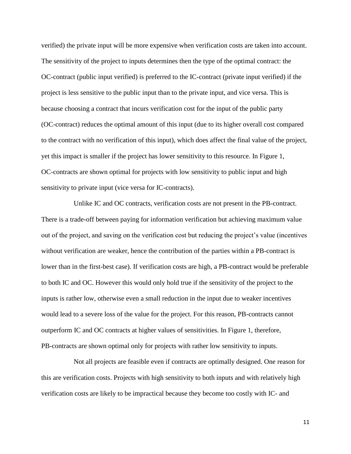verified) the private input will be more expensive when verification costs are taken into account. The sensitivity of the project to inputs determines then the type of the optimal contract: the OC-contract (public input verified) is preferred to the IC-contract (private input verified) if the project is less sensitive to the public input than to the private input, and vice versa. This is because choosing a contract that incurs verification cost for the input of the public party (OC-contract) reduces the optimal amount of this input (due to its higher overall cost compared to the contract with no verification of this input), which does affect the final value of the project, yet this impact is smaller if the project has lower sensitivity to this resource. In Figure 1, OC-contracts are shown optimal for projects with low sensitivity to public input and high sensitivity to private input (vice versa for IC-contracts).

Unlike IC and OC contracts, verification costs are not present in the PB-contract. There is a trade-off between paying for information verification but achieving maximum value out of the project, and saving on the verification cost but reducing the project's value (incentives without verification are weaker, hence the contribution of the parties within a PB-contract is lower than in the first-best case). If verification costs are high, a PB-contract would be preferable to both IC and OC. However this would only hold true if the sensitivity of the project to the inputs is rather low, otherwise even a small reduction in the input due to weaker incentives would lead to a severe loss of the value for the project. For this reason, PB-contracts cannot outperform IC and OC contracts at higher values of sensitivities. In Figure 1, therefore, PB-contracts are shown optimal only for projects with rather low sensitivity to inputs.

Not all projects are feasible even if contracts are optimally designed. One reason for this are verification costs. Projects with high sensitivity to both inputs and with relatively high verification costs are likely to be impractical because they become too costly with IC- and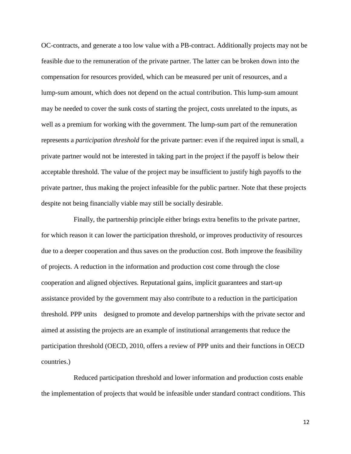OC-contracts, and generate a too low value with a PB-contract. Additionally projects may not be feasible due to the remuneration of the private partner. The latter can be broken down into the compensation for resources provided, which can be measured per unit of resources, and a lump-sum amount, which does not depend on the actual contribution. This lump-sum amount may be needed to cover the sunk costs of starting the project, costs unrelated to the inputs, as well as a premium for working with the government. The lump-sum part of the remuneration represents a *participation threshold* for the private partner: even if the required input is small, a private partner would not be interested in taking part in the project if the payoff is below their acceptable threshold. The value of the project may be insufficient to justify high payoffs to the private partner, thus making the project infeasible for the public partner. Note that these projects despite not being financially viable may still be socially desirable.

Finally, the partnership principle either brings extra benefits to the private partner, for which reason it can lower the participation threshold, or improves productivity of resources due to a deeper cooperation and thus saves on the production cost. Both improve the feasibility of projects. A reduction in the information and production cost come through the close cooperation and aligned objectives. Reputational gains, implicit guarantees and start-up assistance provided by the government may also contribute to a reduction in the participation threshold. PPP units designed to promote and develop partnerships with the private sector and aimed at assisting the projects are an example of institutional arrangements that reduce the participation threshold (OECD, 2010, offers a review of PPP units and their functions in OECD countries.)

Reduced participation threshold and lower information and production costs enable the implementation of projects that would be infeasible under standard contract conditions. This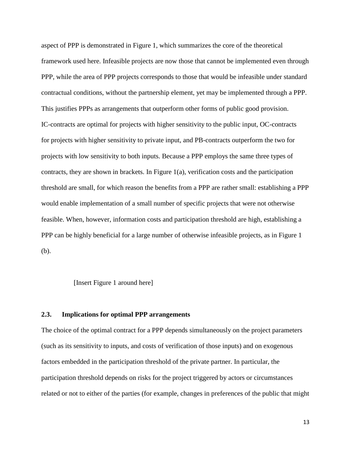aspect of PPP is demonstrated in Figure 1, which summarizes the core of the theoretical framework used here. Infeasible projects are now those that cannot be implemented even through PPP, while the area of PPP projects corresponds to those that would be infeasible under standard contractual conditions, without the partnership element, yet may be implemented through a PPP. This justifies PPPs as arrangements that outperform other forms of public good provision. IC-contracts are optimal for projects with higher sensitivity to the public input, OC-contracts for projects with higher sensitivity to private input, and PB-contracts outperform the two for projects with low sensitivity to both inputs. Because a PPP employs the same three types of contracts, they are shown in brackets. In Figure 1(a), verification costs and the participation threshold are small, for which reason the benefits from a PPP are rather small: establishing a PPP would enable implementation of a small number of specific projects that were not otherwise feasible. When, however, information costs and participation threshold are high, establishing a PPP can be highly beneficial for a large number of otherwise infeasible projects, as in Figure 1 (b).

[Insert Figure 1 around here]

# **2.3. Implications for optimal PPP arrangements**

The choice of the optimal contract for a PPP depends simultaneously on the project parameters (such as its sensitivity to inputs, and costs of verification of those inputs) and on exogenous factors embedded in the participation threshold of the private partner. In particular, the participation threshold depends on risks for the project triggered by actors or circumstances related or not to either of the parties (for example, changes in preferences of the public that might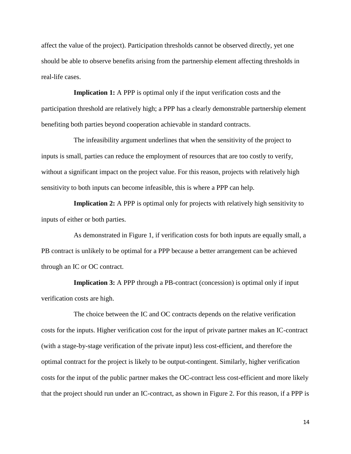affect the value of the project). Participation thresholds cannot be observed directly, yet one should be able to observe benefits arising from the partnership element affecting thresholds in real-life cases.

**Implication 1:** A PPP is optimal only if the input verification costs and the participation threshold are relatively high; a PPP has a clearly demonstrable partnership element benefiting both parties beyond cooperation achievable in standard contracts.

The infeasibility argument underlines that when the sensitivity of the project to inputs is small, parties can reduce the employment of resources that are too costly to verify, without a significant impact on the project value. For this reason, projects with relatively high sensitivity to both inputs can become infeasible, this is where a PPP can help.

**Implication 2:** A PPP is optimal only for projects with relatively high sensitivity to inputs of either or both parties.

As demonstrated in Figure 1, if verification costs for both inputs are equally small, a PB contract is unlikely to be optimal for a PPP because a better arrangement can be achieved through an IC or OC contract.

**Implication 3:** A PPP through a PB-contract (concession) is optimal only if input verification costs are high.

The choice between the IC and OC contracts depends on the relative verification costs for the inputs. Higher verification cost for the input of private partner makes an IC-contract (with a stage-by-stage verification of the private input) less cost-efficient, and therefore the optimal contract for the project is likely to be output-contingent. Similarly, higher verification costs for the input of the public partner makes the OC-contract less cost-efficient and more likely that the project should run under an IC-contract, as shown in Figure 2. For this reason, if a PPP is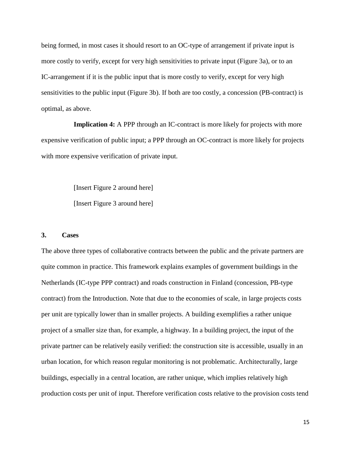being formed, in most cases it should resort to an OC-type of arrangement if private input is more costly to verify, except for very high sensitivities to private input (Figure 3a), or to an IC-arrangement if it is the public input that is more costly to verify, except for very high sensitivities to the public input (Figure 3b). If both are too costly, a concession (PB-contract) is optimal, as above.

**Implication 4:** A PPP through an IC-contract is more likely for projects with more expensive verification of public input; a PPP through an OC-contract is more likely for projects with more expensive verification of private input.

> [Insert Figure 2 around here] [Insert Figure 3 around here]

# **3. Cases**

The above three types of collaborative contracts between the public and the private partners are quite common in practice. This framework explains examples of government buildings in the Netherlands (IC-type PPP contract) and roads construction in Finland (concession, PB-type contract) from the Introduction. Note that due to the economies of scale, in large projects costs per unit are typically lower than in smaller projects. A building exemplifies a rather unique project of a smaller size than, for example, a highway. In a building project, the input of the private partner can be relatively easily verified: the construction site is accessible, usually in an urban location, for which reason regular monitoring is not problematic. Architecturally, large buildings, especially in a central location, are rather unique, which implies relatively high production costs per unit of input. Therefore verification costs relative to the provision costs tend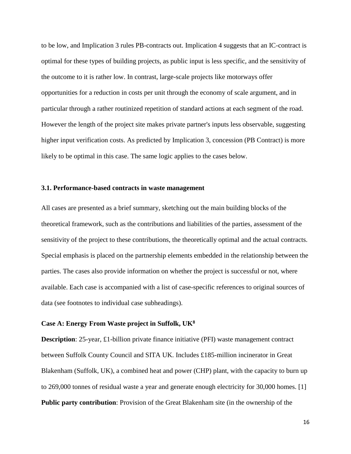to be low, and Implication 3 rules PB-contracts out. Implication 4 suggests that an IC-contract is optimal for these types of building projects, as public input is less specific, and the sensitivity of the outcome to it is rather low. In contrast, large-scale projects like motorways offer opportunities for a reduction in costs per unit through the economy of scale argument, and in particular through a rather routinized repetition of standard actions at each segment of the road. However the length of the project site makes private partner's inputs less observable, suggesting higher input verification costs. As predicted by Implication 3, concession (PB Contract) is more likely to be optimal in this case. The same logic applies to the cases below.

# **3.1. Performance-based contracts in waste management**

All cases are presented as a brief summary, sketching out the main building blocks of the theoretical framework, such as the contributions and liabilities of the parties, assessment of the sensitivity of the project to these contributions, the theoretically optimal and the actual contracts. Special emphasis is placed on the partnership elements embedded in the relationship between the parties. The cases also provide information on whether the project is successful or not, where available. Each case is accompanied with a list of case-specific references to original sources of data (see footnotes to individual case subheadings).

# **Case A: Energy From Waste project in Suffolk, UK<sup>8</sup>**

**Description**: 25-year, £1-billion private finance initiative (PFI) waste management contract between Suffolk County Council and SITA UK. Includes £185-million incinerator in Great Blakenham (Suffolk, UK), a combined heat and power (CHP) plant, with the capacity to burn up to 269,000 tonnes of residual waste a year and generate enough electricity for 30,000 homes. [1] **Public party contribution**: Provision of the Great Blakenham site (in the ownership of the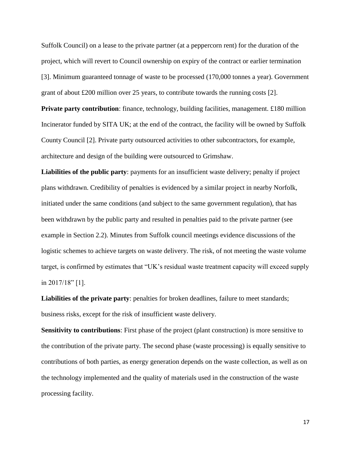Suffolk Council) on a lease to the private partner (at a peppercorn rent) for the duration of the project, which will revert to Council ownership on expiry of the contract or earlier termination [3]. Minimum guaranteed tonnage of waste to be processed (170,000 tonnes a year). Government grant of about £200 million over 25 years, to contribute towards the running costs  $[2]$ .

**Private party contribution**: finance, technology, building facilities, management. £180 million Incinerator funded by SITA UK; at the end of the contract, the facility will be owned by Suffolk County Council [2]. Private party outsourced activities to other subcontractors, for example, architecture and design of the building were outsourced to Grimshaw.

**Liabilities of the public party**: payments for an insufficient waste delivery; penalty if project plans withdrawn. Credibility of penalties is evidenced by a similar project in nearby Norfolk, initiated under the same conditions (and subject to the same government regulation), that has been withdrawn by the public party and resulted in penalties paid to the private partner (see example in Section 2.2). Minutes from Suffolk council meetings evidence discussions of the logistic schemes to achieve targets on waste delivery. The risk, of not meeting the waste volume target, is confirmed by estimates that "UK's residual waste treatment capacity will exceed supply in 2017/18" [1].

**Liabilities of the private party**: penalties for broken deadlines, failure to meet standards; business risks, except for the risk of insufficient waste delivery.

**Sensitivity to contributions**: First phase of the project (plant construction) is more sensitive to the contribution of the private party. The second phase (waste processing) is equally sensitive to contributions of both parties, as energy generation depends on the waste collection, as well as on the technology implemented and the quality of materials used in the construction of the waste processing facility.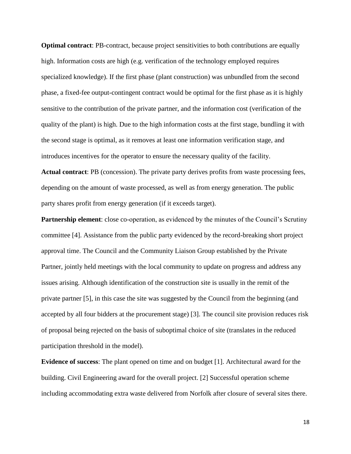**Optimal contract**: PB-contract, because project sensitivities to both contributions are equally high. Information costs are high (e.g. verification of the technology employed requires specialized knowledge). If the first phase (plant construction) was unbundled from the second phase, a fixed-fee output-contingent contract would be optimal for the first phase as it is highly sensitive to the contribution of the private partner, and the information cost (verification of the quality of the plant) is high. Due to the high information costs at the first stage, bundling it with the second stage is optimal, as it removes at least one information verification stage, and introduces incentives for the operator to ensure the necessary quality of the facility.

**Actual contract**: PB (concession). The private party derives profits from waste processing fees, depending on the amount of waste processed, as well as from energy generation. The public party shares profit from energy generation (if it exceeds target).

**Partnership element:** close co-operation, as evidenced by the minutes of the Council's Scrutiny committee [4]. Assistance from the public party evidenced by the record-breaking short project approval time. The Council and the Community Liaison Group established by the Private Partner, jointly held meetings with the local community to update on progress and address any issues arising. Although identification of the construction site is usually in the remit of the private partner [5], in this case the site was suggested by the Council from the beginning (and accepted by all four bidders at the procurement stage) [3]. The council site provision reduces risk of proposal being rejected on the basis of suboptimal choice of site (translates in the reduced participation threshold in the model).

**Evidence of success**: The plant opened on time and on budget [1]. Architectural award for the building. Civil Engineering award for the overall project. [2] Successful operation scheme including accommodating extra waste delivered from Norfolk after closure of several sites there.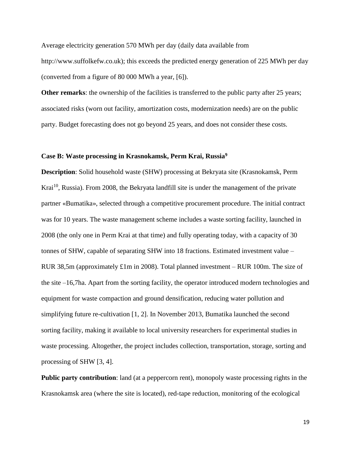Average electricity generation 570 MWh per day (daily data available from http://www.suffolkefw.co.uk); this exceeds the predicted energy generation of 225 MWh per day (converted from a figure of 80 000 MWh a year, [6]).

**Other remarks:** the ownership of the facilities is transferred to the public party after 25 years; associated risks (worn out facility, amortization costs, modernization needs) are on the public party. Budget forecasting does not go beyond 25 years, and does not consider these costs.

# **Case B: Waste processing in Krasnokamsk, Perm Krai, Russia<sup>9</sup>**

**Description**: Solid household waste (SHW) processing at Bekryata site (Krasnokamsk, Perm Krai<sup>10</sup>, Russia). From 2008, the Bekryata landfill site is under the management of the private partner «Bumatika», selected through a competitive procurement procedure. The initial contract was for 10 years. The waste management scheme includes a waste sorting facility, launched in 2008 (the only one in Perm Krai at that time) and fully operating today, with a capacity of 30 tonnes of SHW, capable of separating SHW into 18 fractions. Estimated investment value – RUR 38,5m (approximately £1m in 2008). Total planned investment – RUR 100m. The size of the site –16,7ha. Apart from the sorting facility, the operator introduced modern technologies and equipment for waste compaction and ground densification, reducing water pollution and simplifying future re-cultivation [1, 2]. In November 2013, Bumatika launched the second sorting facility, making it available to local university researchers for experimental studies in waste processing. Altogether, the project includes collection, transportation, storage, sorting and processing of SHW [3, 4].

**Public party contribution**: land (at a peppercorn rent), monopoly waste processing rights in the Krasnokamsk area (where the site is located), red-tape reduction, monitoring of the ecological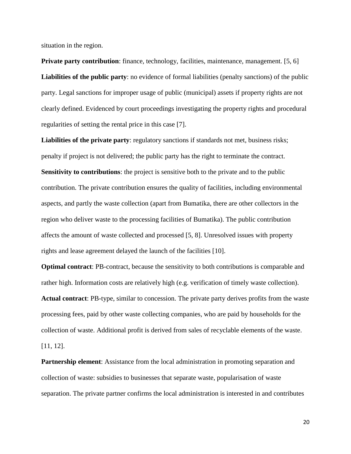situation in the region.

**Private party contribution**: finance, technology, facilities, maintenance, management. [5, 6] **Liabilities of the public party**: no evidence of formal liabilities (penalty sanctions) of the public party. Legal sanctions for improper usage of public (municipal) assets if property rights are not clearly defined. Evidenced by court proceedings investigating the property rights and procedural regularities of setting the rental price in this case [7].

Liabilities of the private party: regulatory sanctions if standards not met, business risks; penalty if project is not delivered; the public party has the right to terminate the contract. **Sensitivity to contributions**: the project is sensitive both to the private and to the public contribution. The private contribution ensures the quality of facilities, including environmental aspects, and partly the waste collection (apart from Bumatika, there are other collectors in the region who deliver waste to the processing facilities of Bumatika). The public contribution affects the amount of waste collected and processed [5, 8]. Unresolved issues with property rights and lease agreement delayed the launch of the facilities [10].

**Optimal contract**: PB-contract, because the sensitivity to both contributions is comparable and rather high. Information costs are relatively high (e.g. verification of timely waste collection). **Actual contract**: PB-type, similar to concession. The private party derives profits from the waste processing fees, paid by other waste collecting companies, who are paid by households for the collection of waste. Additional profit is derived from sales of recyclable elements of the waste. [11, 12].

**Partnership element:** Assistance from the local administration in promoting separation and collection of waste: subsidies to businesses that separate waste, popularisation of waste separation. The private partner confirms the local administration is interested in and contributes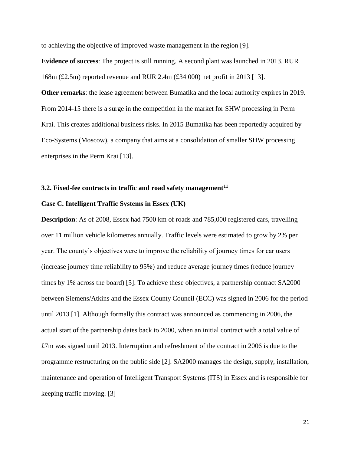to achieving the objective of improved waste management in the region [9].

**Evidence of success**: The project is still running. A second plant was launched in 2013. RUR 168m (£2.5m) reported revenue and RUR 2.4m (£34 000) net profit in 2013 [13].

**Other remarks**: the lease agreement between Bumatika and the local authority expires in 2019. From 2014-15 there is a surge in the competition in the market for SHW processing in Perm Krai. This creates additional business risks. In 2015 Bumatika has been reportedly acquired by Eco-Systems (Moscow), a company that aims at a consolidation of smaller SHW processing enterprises in the Perm Krai [13].

#### **3.2. Fixed-fee contracts in traffic and road safety management<sup>11</sup>**

## **Case C. Intelligent Traffic Systems in Essex (UK)**

**Description**: As of 2008, Essex had 7500 km of roads and 785,000 registered cars, travelling over 11 million vehicle kilometres annually. Traffic levels were estimated to grow by 2% per year. The county's objectives were to improve the reliability of journey times for car users (increase journey time reliability to 95%) and reduce average journey times (reduce journey times by 1% across the board) [5]. To achieve these objectives, a partnership contract SA2000 between Siemens/Atkins and the Essex County Council (ECC) was signed in 2006 for the period until 2013 [1]. Although formally this contract was announced as commencing in 2006, the actual start of the partnership dates back to 2000, when an initial contract with a total value of £7m was signed until 2013. Interruption and refreshment of the contract in 2006 is due to the programme restructuring on the public side [2]. SA2000 manages the design, supply, installation, maintenance and operation of Intelligent Transport Systems (ITS) in Essex and is responsible for keeping traffic moving. [3]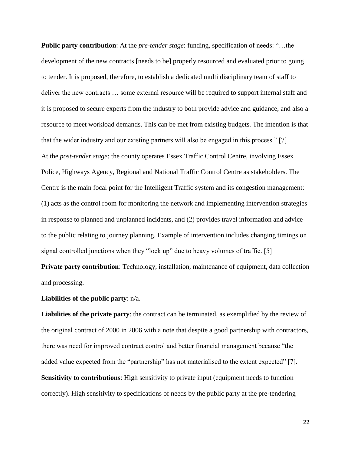**Public party contribution**: At the *pre-tender stage*: funding, specification of needs: "...the development of the new contracts [needs to be] properly resourced and evaluated prior to going to tender. It is proposed, therefore, to establish a dedicated multi disciplinary team of staff to deliver the new contracts … some external resource will be required to support internal staff and it is proposed to secure experts from the industry to both provide advice and guidance, and also a resource to meet workload demands. This can be met from existing budgets. The intention is that that the wider industry and our existing partners will also be engaged in this process." [7] At the *post-tender stage*: the county operates Essex Traffic Control Centre, involving Essex Police, Highways Agency, Regional and National Traffic Control Centre as stakeholders. The Centre is the main focal point for the Intelligent Traffic system and its congestion management: (1) acts as the control room for monitoring the network and implementing intervention strategies in response to planned and unplanned incidents, and (2) provides travel information and advice to the public relating to journey planning. Example of intervention includes changing timings on signal controlled junctions when they "lock up" due to heavy volumes of traffic. [5]

**Private party contribution**: Technology, installation, maintenance of equipment, data collection and processing.

**Liabilities of the public party**: n/a.

**Liabilities of the private party**: the contract can be terminated, as exemplified by the review of the original contract of 2000 in 2006 with a note that despite a good partnership with contractors, there was need for improved contract control and better financial management because "the added value expected from the "partnership" has not materialised to the extent expected" [7]. **Sensitivity to contributions**: High sensitivity to private input (equipment needs to function correctly). High sensitivity to specifications of needs by the public party at the pre-tendering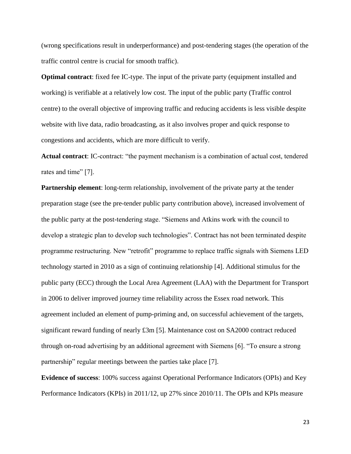(wrong specifications result in underperformance) and post-tendering stages (the operation of the traffic control centre is crucial for smooth traffic).

**Optimal contract**: fixed fee IC-type. The input of the private party (equipment installed and working) is verifiable at a relatively low cost. The input of the public party (Traffic control centre) to the overall objective of improving traffic and reducing accidents is less visible despite website with live data, radio broadcasting, as it also involves proper and quick response to congestions and accidents, which are more difficult to verify.

**Actual contract**: IC-contract: "the payment mechanism is a combination of actual cost, tendered rates and time" [7].

**Partnership element**: long-term relationship, involvement of the private party at the tender preparation stage (see the pre-tender public party contribution above), increased involvement of the public party at the post-tendering stage. "Siemens and Atkins work with the council to develop a strategic plan to develop such technologies". Contract has not been terminated despite programme restructuring. New "retrofit" programme to replace traffic signals with Siemens LED technology started in 2010 as a sign of continuing relationship [4]. Additional stimulus for the public party (ECC) through the Local Area Agreement (LAA) with the Department for Transport in 2006 to deliver improved journey time reliability across the Essex road network. This agreement included an element of pump-priming and, on successful achievement of the targets, significant reward funding of nearly £3m [5]. Maintenance cost on SA2000 contract reduced through on-road advertising by an additional agreement with Siemens [6]. "To ensure a strong partnership" regular meetings between the parties take place [7].

**Evidence of success**: 100% success against Operational Performance Indicators (OPIs) and Key Performance Indicators (KPIs) in 2011/12, up 27% since 2010/11. The OPIs and KPIs measure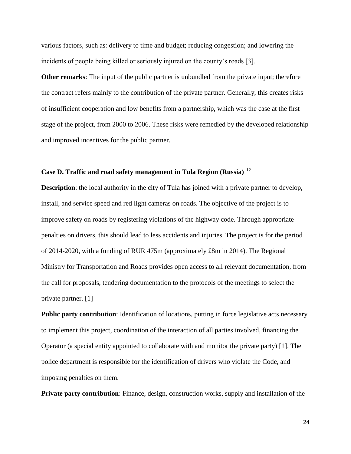various factors, such as: delivery to time and budget; reducing congestion; and lowering the incidents of people being killed or seriously injured on the county's roads [3].

**Other remarks**: The input of the public partner is unbundled from the private input; therefore the contract refers mainly to the contribution of the private partner. Generally, this creates risks of insufficient cooperation and low benefits from a partnership, which was the case at the first stage of the project, from 2000 to 2006. These risks were remedied by the developed relationship and improved incentives for the public partner.

# **Case D. Traffic and road safety management in Tula Region (Russia)** <sup>12</sup>

**Description**: the local authority in the city of Tula has joined with a private partner to develop, install, and service speed and red light cameras on roads. The objective of the project is to improve safety on roads by registering violations of the highway code. Through appropriate penalties on drivers, this should lead to less accidents and injuries. The project is for the period of 2014-2020, with a funding of RUR 475m (approximately £8m in 2014). The Regional Ministry for Transportation and Roads provides open access to all relevant documentation, from the call for proposals, tendering documentation to the protocols of the meetings to select the private partner. [1]

**Public party contribution**: Identification of locations, putting in force legislative acts necessary to implement this project, coordination of the interaction of all parties involved, financing the Operator (a special entity appointed to collaborate with and monitor the private party) [1]. The police department is responsible for the identification of drivers who violate the Code, and imposing penalties on them.

**Private party contribution**: Finance, design, construction works, supply and installation of the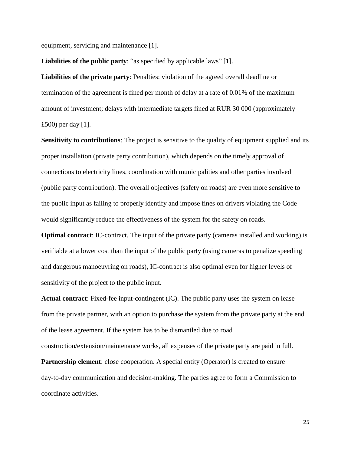equipment, servicing and maintenance [1].

**Liabilities of the public party**: "as specified by applicable laws" [1].

**Liabilities of the private party**: Penalties: violation of the agreed overall deadline or termination of the agreement is fined per month of delay at a rate of 0.01% of the maximum amount of investment; delays with intermediate targets fined at RUR 30 000 (approximately £500) per day [1].

**Sensitivity to contributions**: The project is sensitive to the quality of equipment supplied and its proper installation (private party contribution), which depends on the timely approval of connections to electricity lines, coordination with municipalities and other parties involved (public party contribution). The overall objectives (safety on roads) are even more sensitive to the public input as failing to properly identify and impose fines on drivers violating the Code would significantly reduce the effectiveness of the system for the safety on roads.

**Optimal contract**: IC-contract. The input of the private party (cameras installed and working) is verifiable at a lower cost than the input of the public party (using cameras to penalize speeding and dangerous manoeuvring on roads), IC-contract is also optimal even for higher levels of sensitivity of the project to the public input.

**Actual contract**: Fixed-fee input-contingent (IC). The public party uses the system on lease from the private partner, with an option to purchase the system from the private party at the end of the lease agreement. If the system has to be dismantled due to road construction/extension/maintenance works, all expenses of the private party are paid in full.

**Partnership element**: close cooperation. A special entity (Operator) is created to ensure day-to-day communication and decision-making. The parties agree to form a Commission to coordinate activities.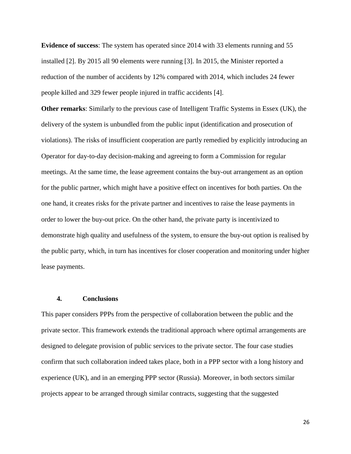**Evidence of success**: The system has operated since 2014 with 33 elements running and 55 installed [2]. By 2015 all 90 elements were running [3]. In 2015, the Minister reported a reduction of the number of accidents by 12% compared with 2014, which includes 24 fewer people killed and 329 fewer people injured in traffic accidents [4].

**Other remarks**: Similarly to the previous case of Intelligent Traffic Systems in Essex (UK), the delivery of the system is unbundled from the public input (identification and prosecution of violations). The risks of insufficient cooperation are partly remedied by explicitly introducing an Operator for day-to-day decision-making and agreeing to form a Commission for regular meetings. At the same time, the lease agreement contains the buy-out arrangement as an option for the public partner, which might have a positive effect on incentives for both parties. On the one hand, it creates risks for the private partner and incentives to raise the lease payments in order to lower the buy-out price. On the other hand, the private party is incentivized to demonstrate high quality and usefulness of the system, to ensure the buy-out option is realised by the public party, which, in turn has incentives for closer cooperation and monitoring under higher lease payments.

## **4. Conclusions**

This paper considers PPPs from the perspective of collaboration between the public and the private sector. This framework extends the traditional approach where optimal arrangements are designed to delegate provision of public services to the private sector. The four case studies confirm that such collaboration indeed takes place, both in a PPP sector with a long history and experience (UK), and in an emerging PPP sector (Russia). Moreover, in both sectors similar projects appear to be arranged through similar contracts, suggesting that the suggested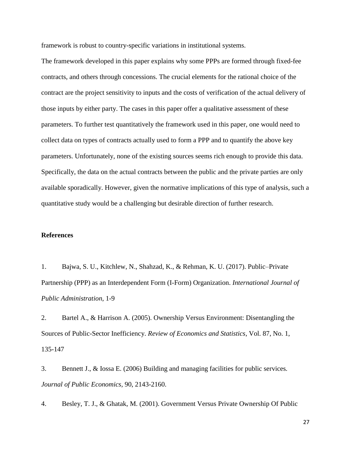framework is robust to country-specific variations in institutional systems.

The framework developed in this paper explains why some PPPs are formed through fixed-fee contracts, and others through concessions. The crucial elements for the rational choice of the contract are the project sensitivity to inputs and the costs of verification of the actual delivery of those inputs by either party. The cases in this paper offer a qualitative assessment of these parameters. To further test quantitatively the framework used in this paper, one would need to collect data on types of contracts actually used to form a PPP and to quantify the above key parameters. Unfortunately, none of the existing sources seems rich enough to provide this data. Specifically, the data on the actual contracts between the public and the private parties are only available sporadically. However, given the normative implications of this type of analysis, such a quantitative study would be a challenging but desirable direction of further research.

## **References**

1. Bajwa, S. U., Kitchlew, N., Shahzad, K., & Rehman, K. U. (2017). Public–Private Partnership (PPP) as an Interdependent Form (I-Form) Organization. *International Journal of Public Administration*, 1-9

2. Bartel A., & Harrison A. (2005). Ownership Versus Environment: Disentangling the Sources of Public-Sector Inefficiency. *Review of Economics and Statistics*, Vol. 87, No. 1, 135-147

3. Bennett J., & Iossa E. (2006) Building and managing facilities for public services*. Journal of Public Economics,* 90, 2143-2160.

4. Besley, T. J., & Ghatak, M. (2001). Government Versus Private Ownership Of Public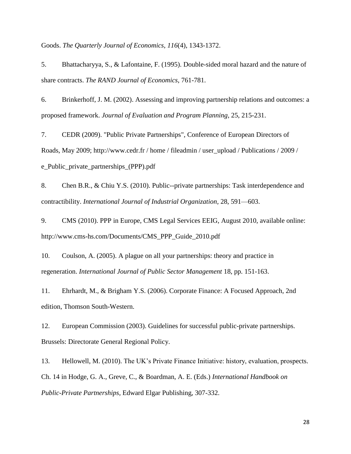Goods. *The Quarterly Journal of Economics*, *116*(4), 1343-1372.

5. Bhattacharyya, S., & Lafontaine, F. (1995). Double-sided moral hazard and the nature of share contracts. *The RAND Journal of Economics*, 761-781.

6. Brinkerhoff, J. M. (2002). Assessing and improving partnership relations and outcomes: a proposed framework. *Journal of Evaluation and Program Planning,* 25, 215-231.

7. CEDR (2009). "Public Private Partnerships", Conference of European Directors of Roads, May 2009; http://www.cedr.fr / home / fileadmin / user\_upload / Publications / 2009 / e\_Public\_private\_partnerships\_(PPP).pdf

8. Chen B.R., & Chiu Y.S. (2010). Public--private partnerships: Task interdependence and contractibility. *International Journal of Industrial Organization,* 28, 591—603.

9. CMS (2010). PPP in Europe, CMS Legal Services EEIG, August 2010, available online: http://www.cms-hs.com/Documents/CMS\_PPP\_Guide\_2010.pdf

10. Coulson, A. (2005). A plague on all your partnerships: theory and practice in regeneration. *International Journal of Public Sector Management* 18, pp. 151-163.

11. Ehrhardt, M., & Brigham Y.S. (2006). Corporate Finance: A Focused Approach, 2nd edition, Thomson South-Western.

12. European Commission (2003). Guidelines for successful public-private partnerships. Brussels: Directorate General Regional Policy.

13. Hellowell, M. (2010). The UK's Private Finance Initiative: history, evaluation, prospects. Ch. 14 in Hodge, G. A., Greve, C., & Boardman, A. E. (Eds.) *International Handbook on Public-Private Partnerships,* Edward Elgar Publishing, 307-332.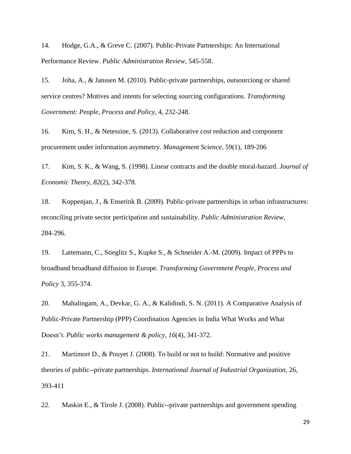14. Hodge, G.A., & Greve C. (2007). Public-Private Partnerships: An International Performance Review. *Public Administration Review*, 545-558.

15. Joha, A., & Janssen M. (2010). Public-private partnerships, outsourciong or shared service centres? Motives and intents for selecting sourcing configurations. *Transforming Government: People, Process and Policy,* 4, 232-248.

16. Kim, S. H., & Netessine, S. (2013). Collaborative cost reduction and component procurement under information asymmetry. *Management Science*, 59(1), 189-206

17. Kim, S. K., & Wang, S. (1998). Linear contracts and the double moral-hazard. *Journal of Economic Theory*, *82*(2), 342-378.

18. Koppenjan, J., & Enserink B. (2009). Public-private partnerships in urban infrastructures: reconciling private sector perticipation and sustainability. *Public Administration Review*, 284-296.

19. Lattemann, C., Stieglitz S., Kupke S., & Schneider A.-M. (2009). Impact of PPPs to broadband broadband diffusion in Europe. *Transforming Government People, Process and Policy* 3, 355-374.

20. Mahalingam, A., Devkar, G. A., & Kalidindi, S. N. (2011). A Comparative Analysis of Public-Private Partnership (PPP) Coordination Agencies in India What Works and What Doesn't. *Public works management & policy*, *16*(4), 341-372.

21. Martimort D., & Pouyet J. (2008). To build or not to build: Normative and positive theories of public--private partnerships. *International Journal of Industrial Organization,* 26, 393-411

22. Maskin E., & Tirole J. (2008). Public--private partnerships and government spending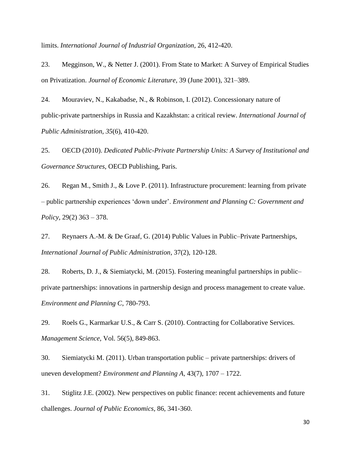limits. *International Journal of Industrial Organization,* 26, 412-420.

23. Megginson, W., & Netter J. (2001). From State to Market: A Survey of Empirical Studies on Privatization. *Journal of Economic Literature,* 39 (June 2001), 321–389.

24. Mouraviev, N., Kakabadse, N., & Robinson, I. (2012). Concessionary nature of public-private partnerships in Russia and Kazakhstan: a critical review. *International Journal of Public Administration*, *35*(6), 410-420.

25. OECD (2010). *Dedicated Public-Private Partnership Units: A Survey of Institutional and Governance Structures*, OECD Publishing, Paris.

26. Regan M., Smith J., & Love P. (2011). Infrastructure procurement: learning from private – public partnership experiences 'down under'. *Environment and Planning C: Government and Policy,* 29(2) 363 – 378.

27. Reynaers A.-M. & De Graaf, G. (2014) Public Values in Public–Private Partnerships, *International Journal of Public Administration*, 37(2), 120-128.

28. Roberts, D. J., & Siemiatycki, M. (2015). Fostering meaningful partnerships in public– private partnerships: innovations in partnership design and process management to create value. *Environment and Planning C*, 780-793.

29. Roels G., Karmarkar U.S., & Carr S. (2010). Contracting for Collaborative Services. *Management Science,* Vol. 56(5), 849-863.

30. Siemiatycki M. (2011). Urban transportation public – private partnerships: drivers of uneven development? *Environment and Planning A,* 43(7), 1707 – 1722.

31. Stiglitz J.E. (2002). New perspectives on public finance: recent achievements and future challenges. *Journal of Public Economics,* 86, 341-360.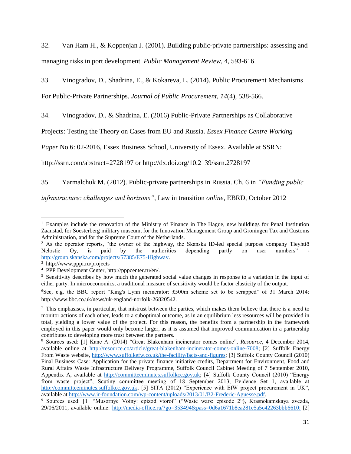32. Van Ham H., & Koppenjan J. (2001). Building public-private partnerships: assessing and managing risks in port development. *Public Management Review,* 4, 593-616.

33. Vinogradov, D., Shadrina, E., & Kokareva, L. (2014). Public Procurement Mechanisms

For Public-Private Partnerships. *Journal of Public Procurement*, *14*(4), 538-566.

34. Vinogradov, D., & Shadrina, E. (2016) Public-Private Partnerships as Collaborative

Projects: Testing the Theory on Cases from EU and Russia. *Essex Finance Centre Working* 

*Paper* No 6: 02-2016, Essex Business School, University of Essex. Available at SSRN:

http://ssrn.com/abstract=2728197 or http://dx.doi.org/10.2139/ssrn.2728197

35. Yarmalchuk M. (2012). Public-private partnerships in Russia. Ch. 6 in *"Funding public* 

*infrastructure: challenges and horizons"*, Law in transition *online*, EBRD, October 2012

l <sup>1</sup> Examples include the renovation of the Ministry of Finance in The Hague, new buildings for Penal Institution Zaanstad, for Soesterberg military museum, for the Innovation Management Group and Groningen Tax and Customs Administration, and for the Supreme Court of the Netherlands.

<sup>&</sup>lt;sup>2</sup> As the operator reports, "the owner of the highway, the Skanska ID-led special purpose company Tieyhtiö Nelostie Oy, is paid by the authorities depending partly on user numbers" [http://group.skanska.com/projects/57385/E75-Highway.](http://group.skanska.com/projects/57385/E75-Highway)

<sup>3</sup> http://www.pppi.ru/projects

<sup>4</sup> PPP Development Center, http://pppcenter.ru/en/.

<sup>&</sup>lt;sup>5</sup> Sensitivity describes by how much the generated social value changes in response to a variation in the input of either party. In microeconomics, a traditional measure of sensitivity would be factor elasticity of the output.

<sup>6</sup>See, e.g. the BBC report "King's Lynn incinerator: £500m scheme set to be scrapped" of 31 March 2014: http://www.bbc.co.uk/news/uk-england-norfolk-26820542.

<sup>&</sup>lt;sup>7</sup> This emphasises, in particular, that mistrust between the parties, which makes them believe that there is a need to monitor actions of each other, leads to a suboptimal outcome, as in an equilibrium less resources will be provided in total, yielding a lower value of the project. For this reason, the benefits from a partnership in the framework employed in this paper would only become larger, as it is assumed that improved communication in a partnership contributes to developing more trust between the partners.

<sup>8</sup> Sources used: [1] Kane A. (2014) "Great Blakenham incinerator comes online", *Resource*, 4 December 2014, available online at [http://resource.co/article/great-blakenham-incinerator-comes-online-7008;](http://resource.co/article/great-blakenham-incinerator-comes-online-7008) [2] Suffolk Energy From Waste website, [http://www.suffolkefw.co.uk/the-facility/facts-and-figures;](http://www.suffolkefw.co.uk/the-facility/facts-and-figures) [3] Suffolk County Council (2010) Final Business Case: Application for the private finance initiative credits, Department for Environment, Food and Rural Affairs Waste Infrastructure Delivery Programme, Suffolk Council Cabinet Meeting of 7 September 2010, Appendix A, available at [http://committeeminutes.suffolkcc.gov.uk;](http://committeeminutes.suffolkcc.gov.uk/) [4] Suffolk County Council (2010) "Energy from waste project", Scutiny committee meeting of 18 September 2013, Evidence Set 1, available at [http://committeeminutes.suffolkcc.gov.uk;](http://committeeminutes.suffolkcc.gov.uk/) [5] SITA (2012) "Experience with EfW project procurement in UK", available at [http://www.ir-foundation.com/wp-content/uploads/2013/01/B2-Frederic-Aguesse.pdf.](http://www.ir-foundation.com/wp-content/uploads/2013/01/B2-Frederic-Aguesse.pdf)

<sup>9</sup> Sources used: [1] "Musornye Voiny: epizod vtoroi" ("Waste wars: episode 2"), Krasnokamskaya zvezda, 29/06/2011, available online: [http://media-office.ru/?go=353494&pass=0d6a1671b8ea281e5a5c42263bbb6610;](http://media-office.ru/?go=353494&pass=0d6a1671b8ea281e5a5c42263bbb6610) [2]